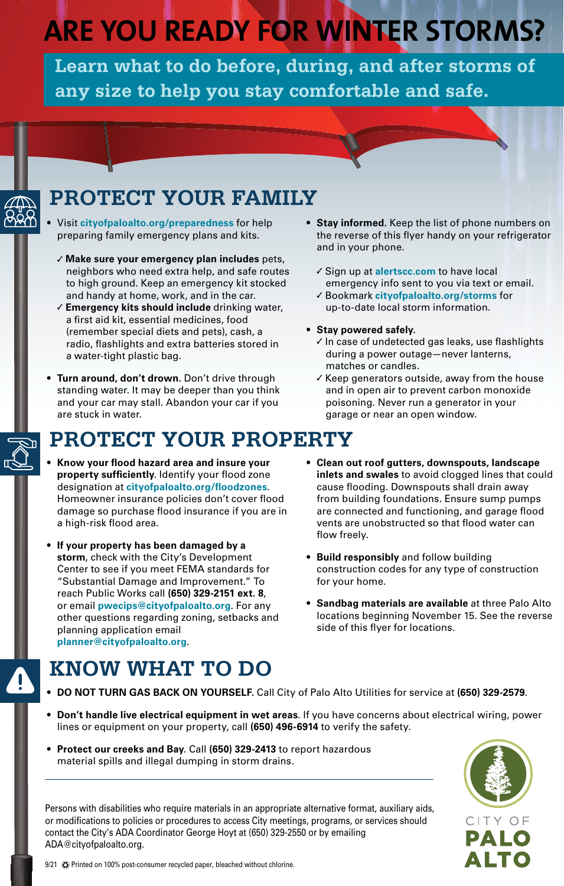# **ARE YOU READY FOR WINTER STORMS?**

**Learn what to do before, during, and after storms of any size to help you stay comfortable and safe.**



- Visit **[cityofpaloalto.org/preparedness](https://www.cityofpaloalto.org/Departments/Emergency-Services/Emergency-Preparedness)** for help preparing family emergency plans and kits.
- ✓ **Make sure your emergency plan includes** pets, neighbors who need extra help, and safe routes to high ground. Keep an emergency kit stocked and handy at home, work, and in the car.
- ✓ **Emergency kits should include** drinking water, a first aid kit, essential medicines, food (remember special diets and pets), cash, a radio, flashlights and extra batteries stored in a water-tight plastic bag.
- **• Turn around, don't drown.** Don't drive through standing water. It may be deeper than you think and your car may stall. Abandon your car if you are stuck in water.

## **PROTECT YOUR PROPERTY**

- **• Know your flood hazard area and insure your property sufficiently**. Identify your flood zone designation at **[cityofpaloalto.org/floodzones](https://www.cityofpaloalto.org/Departments/Public-Works/Engineering-Services/Floodplain-Management)**. Homeowner insurance policies don't cover flood damage so purchase flood insurance if you are in a high-risk flood area.
- **• If your property has been damaged by a storm**, check with the City's Development Center to see if you meet FEMA standards for "Substantial Damage and Improvement." To reach Public Works call **(650) 329-2151 ext. 8**, or email **[pwecips@cityofpaloalto.org](mailto:pwecips%40cityofpaloalto.org?subject=)**. For any other questions regarding zoning, setbacks and planning application email **[planner@cityofpaloalto.org](mailto:planner%40cityofpaloalto.org?subject=)**.
- **• Stay informed.** Keep the list of phone numbers on the reverse of this flyer handy on your refrigerator and in your phone.
	- ✓ Sign up at **[alertscc.com](https://emergencymanagement.sccgov.org/AlertSCC)** to have local emergency info sent to you via text or email.
	- ✓ Bookmark **[cityofpaloalto.org/storms](https://www.cityofpaloalto.org/Departments/Emergency-Services/Flood-Information-and-Winter-Storm-Preparedness)** for up-to-date local storm information.
- **• Stay powered safely.**
	- ✓ In case of undetected gas leaks, use flashlights during a power outage—never lanterns, matches or candles.
	- ✓ Keep generators outside, away from the house and in open air to prevent carbon monoxide poisoning. Never run a generator in your garage or near an open window.
- **• Clean out roof gutters, downspouts, landscape inlets and swales** to avoid clogged lines that could cause flooding. Downspouts shall drain away from building foundations. Ensure sump pumps are connected and functioning, and garage flood vents are unobstructed so that flood water can flow freely.
- **• Build responsibly** and follow building construction codes for any type of construction for your home.
- **• Sandbag materials are available** at three Palo Alto locations beginning November 15. See the reverse side of this flyer for locations.

# **KNOW WHAT TO DO**

- **• DO NOT TURN GAS BACK ON YOURSELF.** Call City of Palo Alto Utilities for service at **(650) 329-2579**.
- **• Don't handle live electrical equipment in wet areas**. If you have concerns about electrical wiring, power lines or equipment on your property, call **(650) 496-6914** to verify the safety.
- **• Protect our creeks and Bay**. Call **(650) 329-2413** to report hazardous material spills and illegal dumping in storm drains.

Persons with disabilities who require materials in an appropriate alternative format, auxiliary aids, or modifications to policies or procedures to access City meetings, programs, or services should contact the City's ADA Coordinator George Hoyt at (650) 329-2550 or by emailing ADA[@cityofpaloalto.org.](mailto:ada%40cityofpaloalto.org?subject=)